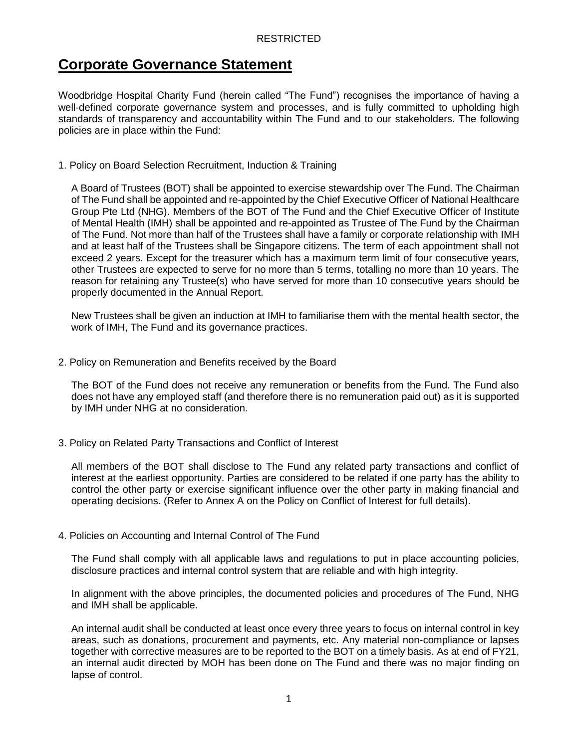# **Corporate Governance Statement**

Woodbridge Hospital Charity Fund (herein called "The Fund") recognises the importance of having a well-defined corporate governance system and processes, and is fully committed to upholding high standards of transparency and accountability within The Fund and to our stakeholders. The following policies are in place within the Fund:

1. Policy on Board Selection Recruitment, Induction & Training

A Board of Trustees (BOT) shall be appointed to exercise stewardship over The Fund. The Chairman of The Fund shall be appointed and re-appointed by the Chief Executive Officer of National Healthcare Group Pte Ltd (NHG). Members of the BOT of The Fund and the Chief Executive Officer of Institute of Mental Health (IMH) shall be appointed and re-appointed as Trustee of The Fund by the Chairman of The Fund. Not more than half of the Trustees shall have a family or corporate relationship with IMH and at least half of the Trustees shall be Singapore citizens. The term of each appointment shall not exceed 2 years. Except for the treasurer which has a maximum term limit of four consecutive years, other Trustees are expected to serve for no more than 5 terms, totalling no more than 10 years. The reason for retaining any Trustee(s) who have served for more than 10 consecutive years should be properly documented in the Annual Report.

New Trustees shall be given an induction at IMH to familiarise them with the mental health sector, the work of IMH, The Fund and its governance practices.

2. Policy on Remuneration and Benefits received by the Board

The BOT of the Fund does not receive any remuneration or benefits from the Fund. The Fund also does not have any employed staff (and therefore there is no remuneration paid out) as it is supported by IMH under NHG at no consideration.

3. Policy on Related Party Transactions and Conflict of Interest

All members of the BOT shall disclose to The Fund any related party transactions and conflict of interest at the earliest opportunity. Parties are considered to be related if one party has the ability to control the other party or exercise significant influence over the other party in making financial and operating decisions. (Refer to Annex A on the Policy on Conflict of Interest for full details).

4. Policies on Accounting and Internal Control of The Fund

The Fund shall comply with all applicable laws and regulations to put in place accounting policies, disclosure practices and internal control system that are reliable and with high integrity.

In alignment with the above principles, the documented policies and procedures of The Fund, NHG and IMH shall be applicable.

An internal audit shall be conducted at least once every three years to focus on internal control in key areas, such as donations, procurement and payments, etc. Any material non-compliance or lapses together with corrective measures are to be reported to the BOT on a timely basis. As at end of FY21, an internal audit directed by MOH has been done on The Fund and there was no major finding on lapse of control.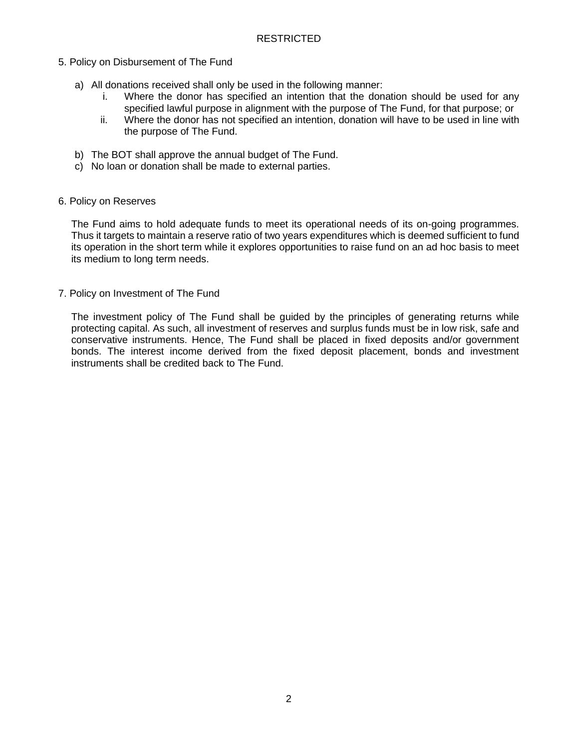- 5. Policy on Disbursement of The Fund
	- a) All donations received shall only be used in the following manner:
		- i. Where the donor has specified an intention that the donation should be used for any specified lawful purpose in alignment with the purpose of The Fund, for that purpose; or
		- ii. Where the donor has not specified an intention, donation will have to be used in line with the purpose of The Fund.
	- b) The BOT shall approve the annual budget of The Fund.
	- c) No loan or donation shall be made to external parties.

#### 6. Policy on Reserves

The Fund aims to hold adequate funds to meet its operational needs of its on-going programmes. Thus it targets to maintain a reserve ratio of two years expenditures which is deemed sufficient to fund its operation in the short term while it explores opportunities to raise fund on an ad hoc basis to meet its medium to long term needs.

7. Policy on Investment of The Fund

The investment policy of The Fund shall be guided by the principles of generating returns while protecting capital. As such, all investment of reserves and surplus funds must be in low risk, safe and conservative instruments. Hence, The Fund shall be placed in fixed deposits and/or government bonds. The interest income derived from the fixed deposit placement, bonds and investment instruments shall be credited back to The Fund.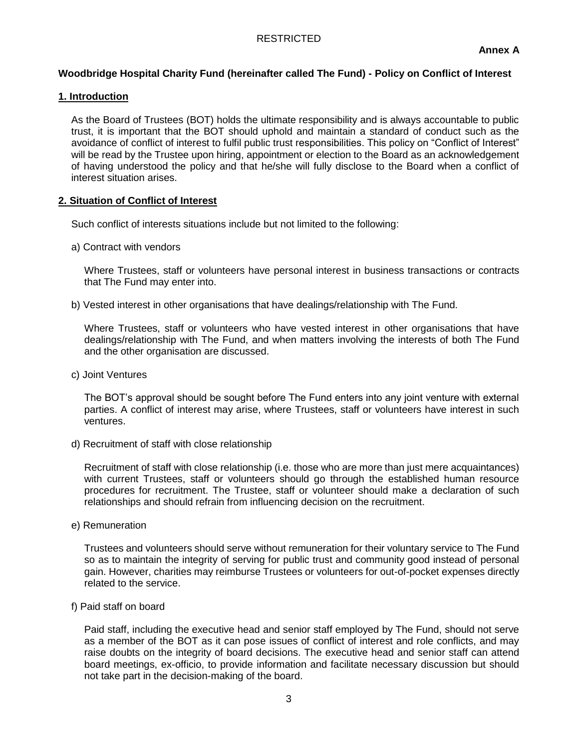## **Woodbridge Hospital Charity Fund (hereinafter called The Fund) - Policy on Conflict of Interest**

## **1. Introduction**

As the Board of Trustees (BOT) holds the ultimate responsibility and is always accountable to public trust, it is important that the BOT should uphold and maintain a standard of conduct such as the avoidance of conflict of interest to fulfil public trust responsibilities. This policy on "Conflict of Interest" will be read by the Trustee upon hiring, appointment or election to the Board as an acknowledgement of having understood the policy and that he/she will fully disclose to the Board when a conflict of interest situation arises.

## **2. Situation of Conflict of Interest**

Such conflict of interests situations include but not limited to the following:

a) Contract with vendors

Where Trustees, staff or volunteers have personal interest in business transactions or contracts that The Fund may enter into.

b) Vested interest in other organisations that have dealings/relationship with The Fund.

Where Trustees, staff or volunteers who have vested interest in other organisations that have dealings/relationship with The Fund, and when matters involving the interests of both The Fund and the other organisation are discussed.

c) Joint Ventures

The BOT's approval should be sought before The Fund enters into any joint venture with external parties. A conflict of interest may arise, where Trustees, staff or volunteers have interest in such ventures.

d) Recruitment of staff with close relationship

Recruitment of staff with close relationship (i.e. those who are more than just mere acquaintances) with current Trustees, staff or volunteers should go through the established human resource procedures for recruitment. The Trustee, staff or volunteer should make a declaration of such relationships and should refrain from influencing decision on the recruitment.

e) Remuneration

Trustees and volunteers should serve without remuneration for their voluntary service to The Fund so as to maintain the integrity of serving for public trust and community good instead of personal gain. However, charities may reimburse Trustees or volunteers for out-of-pocket expenses directly related to the service.

f) Paid staff on board

Paid staff, including the executive head and senior staff employed by The Fund, should not serve as a member of the BOT as it can pose issues of conflict of interest and role conflicts, and may raise doubts on the integrity of board decisions. The executive head and senior staff can attend board meetings, ex-officio, to provide information and facilitate necessary discussion but should not take part in the decision-making of the board.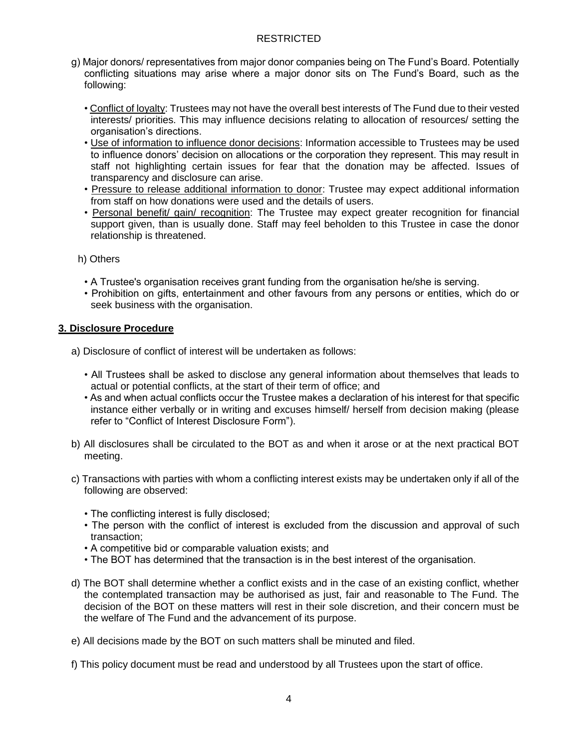- g) Major donors/ representatives from major donor companies being on The Fund's Board. Potentially conflicting situations may arise where a major donor sits on The Fund's Board, such as the following:
	- Conflict of loyalty: Trustees may not have the overall best interests of The Fund due to their vested interests/ priorities. This may influence decisions relating to allocation of resources/ setting the organisation's directions.
	- Use of information to influence donor decisions: Information accessible to Trustees may be used to influence donors' decision on allocations or the corporation they represent. This may result in staff not highlighting certain issues for fear that the donation may be affected. Issues of transparency and disclosure can arise.
	- Pressure to release additional information to donor: Trustee may expect additional information from staff on how donations were used and the details of users.
	- Personal benefit/ gain/ recognition: The Trustee may expect greater recognition for financial support given, than is usually done. Staff may feel beholden to this Trustee in case the donor relationship is threatened.
	- h) Others
		- A Trustee's organisation receives grant funding from the organisation he/she is serving.
		- Prohibition on gifts, entertainment and other favours from any persons or entities, which do or seek business with the organisation.

#### **3. Disclosure Procedure**

- a) Disclosure of conflict of interest will be undertaken as follows:
	- All Trustees shall be asked to disclose any general information about themselves that leads to actual or potential conflicts, at the start of their term of office; and
	- As and when actual conflicts occur the Trustee makes a declaration of his interest for that specific instance either verbally or in writing and excuses himself/ herself from decision making (please refer to "Conflict of Interest Disclosure Form").
- b) All disclosures shall be circulated to the BOT as and when it arose or at the next practical BOT meeting.
- c) Transactions with parties with whom a conflicting interest exists may be undertaken only if all of the following are observed:
	- The conflicting interest is fully disclosed;
	- The person with the conflict of interest is excluded from the discussion and approval of such transaction;
	- A competitive bid or comparable valuation exists; and
	- The BOT has determined that the transaction is in the best interest of the organisation.
- d) The BOT shall determine whether a conflict exists and in the case of an existing conflict, whether the contemplated transaction may be authorised as just, fair and reasonable to The Fund. The decision of the BOT on these matters will rest in their sole discretion, and their concern must be the welfare of The Fund and the advancement of its purpose.
- e) All decisions made by the BOT on such matters shall be minuted and filed.
- f) This policy document must be read and understood by all Trustees upon the start of office.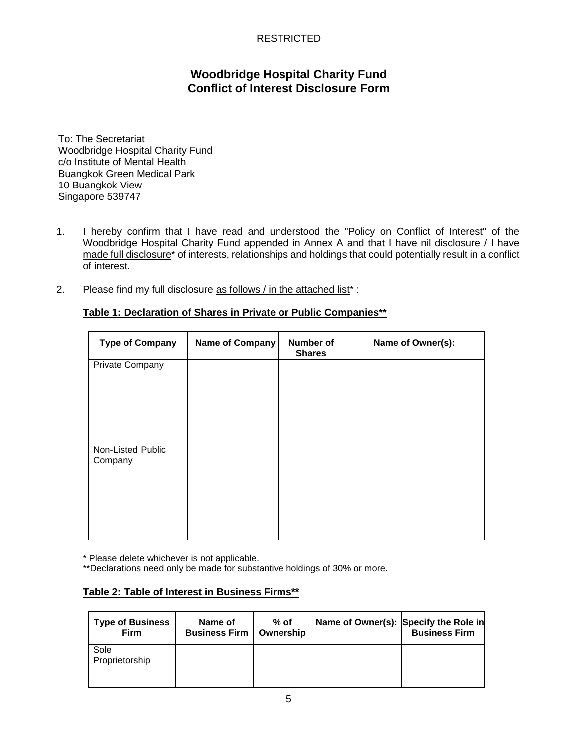# **Woodbridge Hospital Charity Fund Conflict of Interest Disclosure Form**

To: The Secretariat Woodbridge Hospital Charity Fund c/o Institute of Mental Health Buangkok Green Medical Park 10 Buangkok View Singapore 539747

- 1. I hereby confirm that I have read and understood the "Policy on Conflict of Interest" of the Woodbridge Hospital Charity Fund appended in Annex A and that I have nil disclosure / I have made full disclosure\* of interests, relationships and holdings that could potentially result in a conflict of interest.
- 2. Please find my full disclosure as follows / in the attached list<sup>\*</sup> :

| <b>Type of Company</b>       | Name of Company | <b>Number of</b><br><b>Shares</b> | Name of Owner(s): |
|------------------------------|-----------------|-----------------------------------|-------------------|
| Private Company              |                 |                                   |                   |
| Non-Listed Public<br>Company |                 |                                   |                   |

#### **Table 1: Declaration of Shares in Private or Public Companies\*\***

\* Please delete whichever is not applicable.

\*\*Declarations need only be made for substantive holdings of 30% or more.

## **Table 2: Table of Interest in Business Firms\*\***

| <b>Type of Business</b><br><b>Firm</b> | Name of<br><b>Business Firm</b> | $%$ of<br>Ownership | Name of Owner(s): Specify the Role in | <b>Business Firm</b> |
|----------------------------------------|---------------------------------|---------------------|---------------------------------------|----------------------|
| Sole<br>Proprietorship                 |                                 |                     |                                       |                      |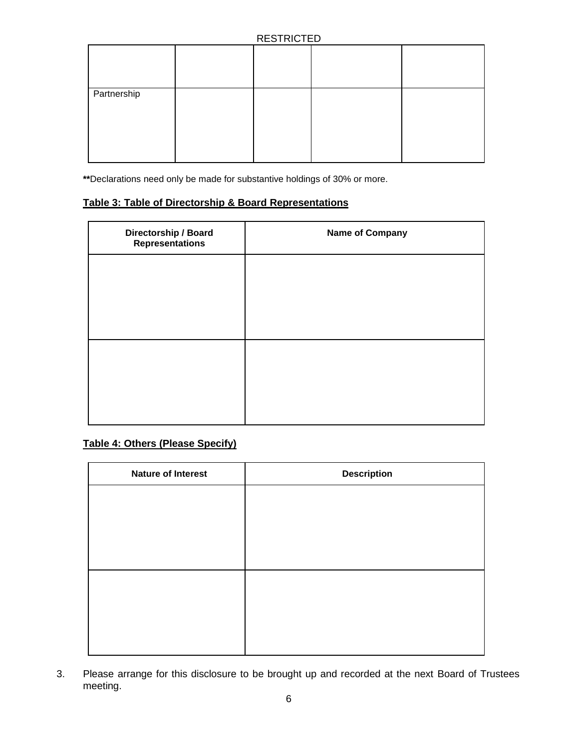|             | . |  |
|-------------|---|--|
|             |   |  |
| Partnership |   |  |

**\*\***Declarations need only be made for substantive holdings of 30% or more.

## **Table 3: Table of Directorship & Board Representations**

| Directorship / Board<br><b>Representations</b> | <b>Name of Company</b> |
|------------------------------------------------|------------------------|
|                                                |                        |
|                                                |                        |
|                                                |                        |
|                                                |                        |
|                                                |                        |
|                                                |                        |

## **Table 4: Others (Please Specify)**

| <b>Nature of Interest</b> | <b>Description</b> |
|---------------------------|--------------------|
|                           |                    |
|                           |                    |
|                           |                    |
|                           |                    |
|                           |                    |
|                           |                    |
|                           |                    |
|                           |                    |

3. Please arrange for this disclosure to be brought up and recorded at the next Board of Trustees meeting.